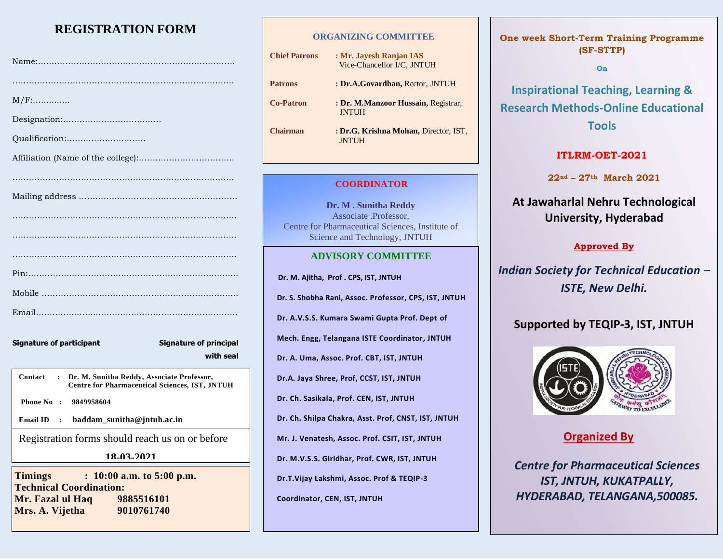# **REGISTRATION FORM**

| $M/F$ :                                                                                                                        |
|--------------------------------------------------------------------------------------------------------------------------------|
|                                                                                                                                |
| Qualification:                                                                                                                 |
|                                                                                                                                |
|                                                                                                                                |
|                                                                                                                                |
|                                                                                                                                |
|                                                                                                                                |
|                                                                                                                                |
|                                                                                                                                |
|                                                                                                                                |
|                                                                                                                                |
| <b>Signature of principal</b><br><b>Signature of participant</b>                                                               |
| with seal                                                                                                                      |
| Contact<br>Dr. M. Sunitha Reddy, Associate Professor,<br>$\sim$ 1.000 $\sim$<br>Centre for Pharmaceutical Sciences, IST, JNTUH |
| Phone No : 9849958604                                                                                                          |

**Email ID : baddam\_sunitha@jntuh.ac.in**

Registration forms should reach us on or before

**18-03-2021**

**Timings : 10:00 a.m. to 5:00 p.m. Technical Coordination: Mr. Fazal ul Haq 9885516101 Mrs. A. Vijetha 9010761740** 

#### **ORGANIZING COMMITTEE**

**Chief Patrons : Mr. Jayesh Ranjan IAS** Vice-Chancellor I/C, JNTUH **Patrons : Dr.A.Govardhan, Rector, JNTUH Co-Patron : Dr. M.Manzoor Hussain,** Registrar, **JNTUH Chairman : Dr.G. Krishna Mohan,** Director, IST, JNTUH

### **COORDINATOR**

**Dr. M . Sunitha Reddy** Associate .Professor, Centre for Pharmaceutical Sciences, Institute of Science and Technology, JNTUH

### **ADVISORY COMMITTEE**

 **Dr. M. Ajitha, Prof . CPS, IST, JNTUH**

**Dr. S. Shobha Rani, Assoc. Professor, CPS, IST, JNTUH**

**Dr. A.V.S.S. Kumara Swami Gupta Prof. Dept of** 

**Mech. Engg, Telangana ISTE Coordinator, JNTUH**

**Dr. A. Uma, Assoc. Prof. CBT, IST, JNTUH**

**Dr.A. Jaya Shree, Prof, CCST, IST, JNTUH**

**Dr. Ch. Sasikala, Prof. CEN, IST, JNTUH**

**Dr. Ch. Shilpa Chakra, Asst. Prof, CNST, IST, JNTUH**

**Mr. J. Venatesh, Assoc. Prof. CSIT, IST, JNTUH**

**Dr. M.V.S.S. Giridhar, Prof. CWR, IST, JNTUH** 

**Dr.T.Vijay Lakshmi, Assoc. Prof & TEQIP-3** 

**Coordinator, CEN, IST, JNTUH**

## **One week Short-Term Training Programme (SF-STTP)**

**On**

**Inspirational Teaching, Learning & Research Methods-Online Educational Tools**

# **ITLRM-OET-2021**

**22nd – 27th March 2021**

# **At Jawaharlal Nehru Technological University, Hyderabad**

# **Approved By**

*Indian Society for Technical Education – ISTE, New Delhi.*

# **Supported by TEQIP-3, IST, JNTUH**



# **Organized By**

*Centre for Pharmaceutical Sciences IST, JNTUH, KUKATPALLY, HYDERABAD, TELANGANA,500085.*